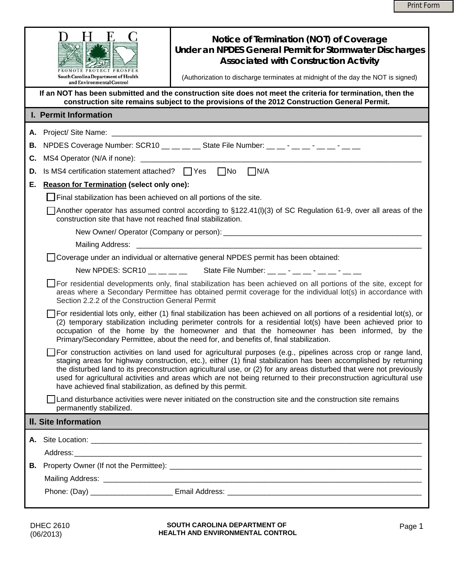|                             | Notice of Termination (NOT) of Coverage<br>Under an NPDES General Permit for Stormwater Discharges<br><b>Associated with Construction Activity</b><br>PROMOTE PROTECT PROSPER<br>South Carolina Department of Health<br>(Authorization to discharge terminates at midnight of the day the NOT is signed)<br>and Environmental Control<br>If an NOT has been submitted and the construction site does not meet the criteria for termination, then the                                                                                                                                                                                                                                                                  |  |  |  |  |  |
|-----------------------------|-----------------------------------------------------------------------------------------------------------------------------------------------------------------------------------------------------------------------------------------------------------------------------------------------------------------------------------------------------------------------------------------------------------------------------------------------------------------------------------------------------------------------------------------------------------------------------------------------------------------------------------------------------------------------------------------------------------------------|--|--|--|--|--|
|                             | construction site remains subject to the provisions of the 2012 Construction General Permit.                                                                                                                                                                                                                                                                                                                                                                                                                                                                                                                                                                                                                          |  |  |  |  |  |
|                             | I. Permit Information                                                                                                                                                                                                                                                                                                                                                                                                                                                                                                                                                                                                                                                                                                 |  |  |  |  |  |
|                             |                                                                                                                                                                                                                                                                                                                                                                                                                                                                                                                                                                                                                                                                                                                       |  |  |  |  |  |
| В.                          | NPDES Coverage Number: SCR10 __ __ __ State File Number: __ __ - __ _ - __ - __ - __                                                                                                                                                                                                                                                                                                                                                                                                                                                                                                                                                                                                                                  |  |  |  |  |  |
| С.                          |                                                                                                                                                                                                                                                                                                                                                                                                                                                                                                                                                                                                                                                                                                                       |  |  |  |  |  |
| D.                          | Is MS4 certification statement attached? $\Box$ Yes $\Box$ No $\Box$ N/A                                                                                                                                                                                                                                                                                                                                                                                                                                                                                                                                                                                                                                              |  |  |  |  |  |
| Е.                          | <b>Reason for Termination (select only one):</b>                                                                                                                                                                                                                                                                                                                                                                                                                                                                                                                                                                                                                                                                      |  |  |  |  |  |
|                             | Final stabilization has been achieved on all portions of the site.                                                                                                                                                                                                                                                                                                                                                                                                                                                                                                                                                                                                                                                    |  |  |  |  |  |
|                             | Another operator has assumed control according to §122.41(I)(3) of SC Regulation 61-9, over all areas of the<br>construction site that have not reached final stabilization.                                                                                                                                                                                                                                                                                                                                                                                                                                                                                                                                          |  |  |  |  |  |
|                             |                                                                                                                                                                                                                                                                                                                                                                                                                                                                                                                                                                                                                                                                                                                       |  |  |  |  |  |
|                             |                                                                                                                                                                                                                                                                                                                                                                                                                                                                                                                                                                                                                                                                                                                       |  |  |  |  |  |
|                             | □ Coverage under an individual or alternative general NPDES permit has been obtained:                                                                                                                                                                                                                                                                                                                                                                                                                                                                                                                                                                                                                                 |  |  |  |  |  |
|                             | New NPDES: SCR10 $\_\_\_\_\_\_\_\$ State File Number: $\_\_\_\_\_\_\_\_\_\_\_\_\_\_\_\_\_\_\_\_$                                                                                                                                                                                                                                                                                                                                                                                                                                                                                                                                                                                                                      |  |  |  |  |  |
|                             | For residential developments only, final stabilization has been achieved on all portions of the site, except for<br>areas where a Secondary Permittee has obtained permit coverage for the individual lot(s) in accordance with<br>Section 2.2.2 of the Construction General Permit<br>For residential lots only, either (1) final stabilization has been achieved on all portions of a residential lot(s), or<br>(2) temporary stabilization including perimeter controls for a residential lot(s) have been achieved prior to<br>occupation of the home by the homeowner and that the homeowner has been informed, by the<br>Primary/Secondary Permittee, about the need for, and benefits of, final stabilization. |  |  |  |  |  |
|                             |                                                                                                                                                                                                                                                                                                                                                                                                                                                                                                                                                                                                                                                                                                                       |  |  |  |  |  |
|                             | For construction activities on land used for agricultural purposes (e.g., pipelines across crop or range land,<br>staging areas for highway construction, etc.), either (1) final stabilization has been accomplished by returning<br>the disturbed land to its preconstruction agricultural use, or (2) for any areas disturbed that were not previously<br>used for agricultural activities and areas which are not being returned to their preconstruction agricultural use<br>have achieved final stabilization, as defined by this permit.                                                                                                                                                                       |  |  |  |  |  |
|                             | Land disturbance activities were never initiated on the construction site and the construction site remains<br>permanently stabilized.                                                                                                                                                                                                                                                                                                                                                                                                                                                                                                                                                                                |  |  |  |  |  |
| <b>II. Site Information</b> |                                                                                                                                                                                                                                                                                                                                                                                                                                                                                                                                                                                                                                                                                                                       |  |  |  |  |  |
|                             |                                                                                                                                                                                                                                                                                                                                                                                                                                                                                                                                                                                                                                                                                                                       |  |  |  |  |  |
|                             |                                                                                                                                                                                                                                                                                                                                                                                                                                                                                                                                                                                                                                                                                                                       |  |  |  |  |  |
|                             |                                                                                                                                                                                                                                                                                                                                                                                                                                                                                                                                                                                                                                                                                                                       |  |  |  |  |  |
|                             |                                                                                                                                                                                                                                                                                                                                                                                                                                                                                                                                                                                                                                                                                                                       |  |  |  |  |  |
|                             |                                                                                                                                                                                                                                                                                                                                                                                                                                                                                                                                                                                                                                                                                                                       |  |  |  |  |  |
|                             |                                                                                                                                                                                                                                                                                                                                                                                                                                                                                                                                                                                                                                                                                                                       |  |  |  |  |  |
|                             |                                                                                                                                                                                                                                                                                                                                                                                                                                                                                                                                                                                                                                                                                                                       |  |  |  |  |  |

DHEC 2610 (06/2013)

**SOUTH CAROLINA DEPARTMENT OF SOUTH CAROLINA DEPARTMENT OF HEALTH AND ENVIRONMENTAL CONTROL PAGE 1 PAGE 1**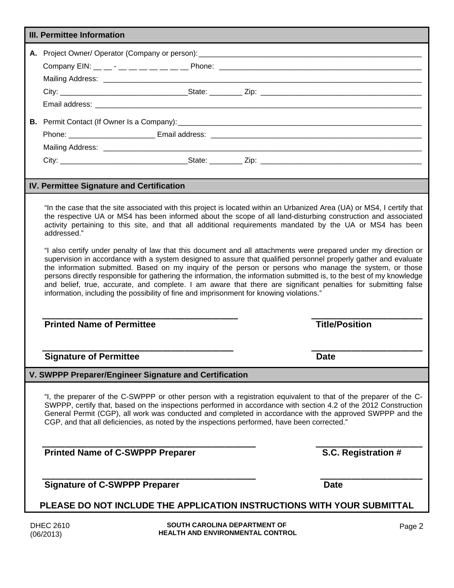| <b>III. Permittee Information</b> |                                                                                                                                                                                                                                                                                                                                                                                                                                                                                                                                                                                                                                                                                                                                                                                                                                                                                                                                    |                                                                         |        |  |  |  |
|-----------------------------------|------------------------------------------------------------------------------------------------------------------------------------------------------------------------------------------------------------------------------------------------------------------------------------------------------------------------------------------------------------------------------------------------------------------------------------------------------------------------------------------------------------------------------------------------------------------------------------------------------------------------------------------------------------------------------------------------------------------------------------------------------------------------------------------------------------------------------------------------------------------------------------------------------------------------------------|-------------------------------------------------------------------------|--------|--|--|--|
|                                   |                                                                                                                                                                                                                                                                                                                                                                                                                                                                                                                                                                                                                                                                                                                                                                                                                                                                                                                                    |                                                                         |        |  |  |  |
|                                   |                                                                                                                                                                                                                                                                                                                                                                                                                                                                                                                                                                                                                                                                                                                                                                                                                                                                                                                                    |                                                                         |        |  |  |  |
|                                   |                                                                                                                                                                                                                                                                                                                                                                                                                                                                                                                                                                                                                                                                                                                                                                                                                                                                                                                                    |                                                                         |        |  |  |  |
|                                   |                                                                                                                                                                                                                                                                                                                                                                                                                                                                                                                                                                                                                                                                                                                                                                                                                                                                                                                                    |                                                                         |        |  |  |  |
|                                   |                                                                                                                                                                                                                                                                                                                                                                                                                                                                                                                                                                                                                                                                                                                                                                                                                                                                                                                                    |                                                                         |        |  |  |  |
|                                   |                                                                                                                                                                                                                                                                                                                                                                                                                                                                                                                                                                                                                                                                                                                                                                                                                                                                                                                                    |                                                                         |        |  |  |  |
|                                   |                                                                                                                                                                                                                                                                                                                                                                                                                                                                                                                                                                                                                                                                                                                                                                                                                                                                                                                                    |                                                                         |        |  |  |  |
|                                   |                                                                                                                                                                                                                                                                                                                                                                                                                                                                                                                                                                                                                                                                                                                                                                                                                                                                                                                                    |                                                                         |        |  |  |  |
|                                   |                                                                                                                                                                                                                                                                                                                                                                                                                                                                                                                                                                                                                                                                                                                                                                                                                                                                                                                                    |                                                                         |        |  |  |  |
|                                   |                                                                                                                                                                                                                                                                                                                                                                                                                                                                                                                                                                                                                                                                                                                                                                                                                                                                                                                                    |                                                                         |        |  |  |  |
|                                   | IV. Permittee Signature and Certification                                                                                                                                                                                                                                                                                                                                                                                                                                                                                                                                                                                                                                                                                                                                                                                                                                                                                          |                                                                         |        |  |  |  |
|                                   | the respective UA or MS4 has been informed about the scope of all land-disturbing construction and associated<br>activity pertaining to this site, and that all additional requirements mandated by the UA or MS4 has been<br>addressed."<br>"I also certify under penalty of law that this document and all attachments were prepared under my direction or<br>supervision in accordance with a system designed to assure that qualified personnel properly gather and evaluate<br>the information submitted. Based on my inquiry of the person or persons who manage the system, or those<br>persons directly responsible for gathering the information, the information submitted is, to the best of my knowledge<br>and belief, true, accurate, and complete. I am aware that there are significant penalties for submitting false<br>information, including the possibility of fine and imprisonment for knowing violations." |                                                                         |        |  |  |  |
|                                   | <b>Printed Name of Permittee</b>                                                                                                                                                                                                                                                                                                                                                                                                                                                                                                                                                                                                                                                                                                                                                                                                                                                                                                   | <b>Title/Position</b>                                                   |        |  |  |  |
|                                   | <b>Signature of Permittee</b>                                                                                                                                                                                                                                                                                                                                                                                                                                                                                                                                                                                                                                                                                                                                                                                                                                                                                                      | <b>Date</b>                                                             |        |  |  |  |
|                                   | V. SWPPP Preparer/Engineer Signature and Certification                                                                                                                                                                                                                                                                                                                                                                                                                                                                                                                                                                                                                                                                                                                                                                                                                                                                             |                                                                         |        |  |  |  |
|                                   | "I, the preparer of the C-SWPPP or other person with a registration equivalent to that of the preparer of the C-<br>SWPPP, certify that, based on the inspections performed in accordance with section 4.2 of the 2012 Construction<br>General Permit (CGP), all work was conducted and completed in accordance with the approved SWPPP and the<br>CGP, and that all deficiencies, as noted by the inspections performed, have been corrected."                                                                                                                                                                                                                                                                                                                                                                                                                                                                                    |                                                                         |        |  |  |  |
|                                   | <b>Printed Name of C-SWPPP Preparer</b>                                                                                                                                                                                                                                                                                                                                                                                                                                                                                                                                                                                                                                                                                                                                                                                                                                                                                            | S.C. Registration #                                                     |        |  |  |  |
|                                   | <b>Signature of C-SWPPP Preparer</b>                                                                                                                                                                                                                                                                                                                                                                                                                                                                                                                                                                                                                                                                                                                                                                                                                                                                                               | <b>Date</b>                                                             |        |  |  |  |
|                                   | PLEASE DO NOT INCLUDE THE APPLICATION INSTRUCTIONS WITH YOUR SUBMITTAL                                                                                                                                                                                                                                                                                                                                                                                                                                                                                                                                                                                                                                                                                                                                                                                                                                                             |                                                                         |        |  |  |  |
|                                   | <b>DHEC 2610</b><br>(06/2013)                                                                                                                                                                                                                                                                                                                                                                                                                                                                                                                                                                                                                                                                                                                                                                                                                                                                                                      | SOUTH CAROLINA DEPARTMENT OF<br><b>HEALTH AND ENVIRONMENTAL CONTROL</b> | Page 2 |  |  |  |